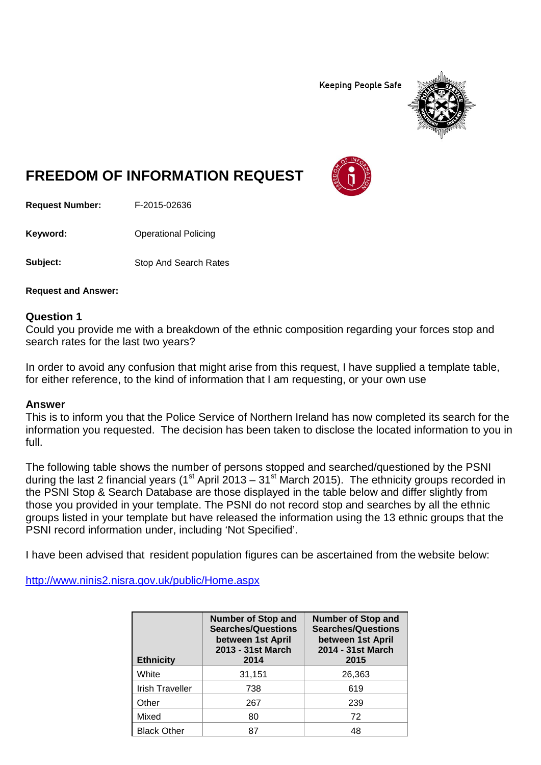**Keeping People Safe** 



## **FREEDOM OF INFORMATION REQUEST**

**Request Number:** F-2015-02636

**Keyword:** Operational Policing

**Subject:** Stop And Search Rates

**Request and Answer:**

## **Question 1**

Could you provide me with a breakdown of the ethnic composition regarding your forces stop and search rates for the last two years?

In order to avoid any confusion that might arise from this request, I have supplied a template table, for either reference, to the kind of information that I am requesting, or your own use

## **Answer**

This is to inform you that the Police Service of Northern Ireland has now completed its search for the information you requested. The decision has been taken to disclose the located information to you in full.

The following table shows the number of persons stopped and searched/questioned by the PSNI during the last 2 financial years (1<sup>st</sup> April 2013 – 31<sup>st</sup> March 2015). The ethnicity groups recorded in the PSNI Stop & Search Database are those displayed in the table below and differ slightly from those you provided in your template. The PSNI do not record stop and searches by all the ethnic groups listed in your template but have released the information using the 13 ethnic groups that the PSNI record information under, including 'Not Specified'.

I have been advised that resident population figures can be ascertained from the website below:

<http://www.ninis2.nisra.gov.uk/public/Home.aspx>

| <b>Ethnicity</b>       | <b>Number of Stop and</b><br><b>Searches/Questions</b><br>between 1st April<br>2013 - 31st March<br>2014 | <b>Number of Stop and</b><br><b>Searches/Questions</b><br>between 1st April<br>2014 - 31st March<br>2015 |
|------------------------|----------------------------------------------------------------------------------------------------------|----------------------------------------------------------------------------------------------------------|
| White                  | 31,151                                                                                                   | 26,363                                                                                                   |
| <b>Irish Traveller</b> | 738                                                                                                      | 619                                                                                                      |
| Other                  | 267                                                                                                      | 239                                                                                                      |
| Mixed                  | 80                                                                                                       | 72                                                                                                       |
| <b>Black Other</b>     | 87                                                                                                       | 48                                                                                                       |